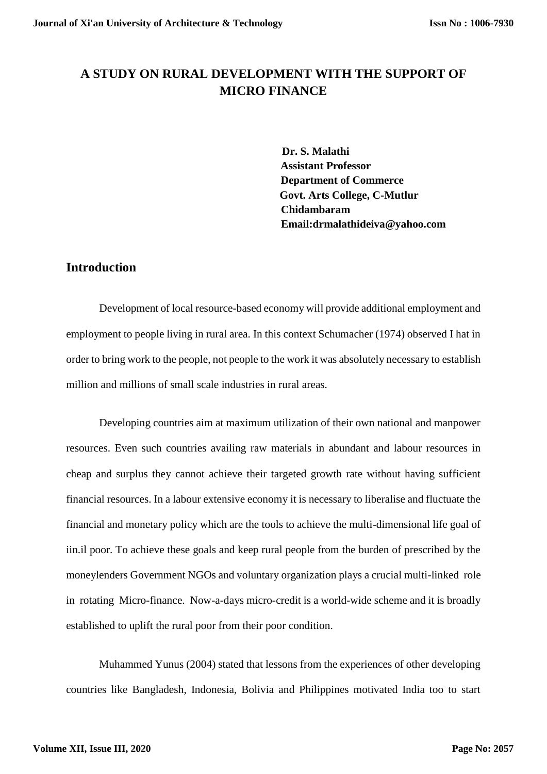# **A STUDY ON RURAL DEVELOPMENT WITH THE SUPPORT OF MICRO FINANCE**

**Dr. S. Malathi Assistant Professor Department of Commerce Govt. Arts College, C-Mutlur Chidambaram Email:drmalathideiva@yahoo.com**

# **Introduction**

Development of local resource-based economy will provide additional employment and employment to people living in rural area. In this context Schumacher (1974) observed I hat in order to bring work to the people, not people to the work it was absolutely necessary to establish million and millions of small scale industries in rural areas.

Developing countries aim at maximum utilization of their own national and manpower resources. Even such countries availing raw materials in abundant and labour resources in cheap and surplus they cannot achieve their targeted growth rate without having sufficient financial resources. In a labour extensive economy it is necessary to liberalise and fluctuate the financial and monetary policy which are the tools to achieve the multi-dimensional life goal of iin.il poor. To achieve these goals and keep rural people from the burden of prescribed by the moneylenders Government NGOs and voluntary organization plays a crucial multi-linked role in rotating Micro-finance. Now-a-days micro-credit is a world-wide scheme and it is broadly established to uplift the rural poor from their poor condition.

Muhammed Yunus (2004) stated that lessons from the experiences of other developing countries like Bangladesh, Indonesia, Bolivia and Philippines motivated India too to start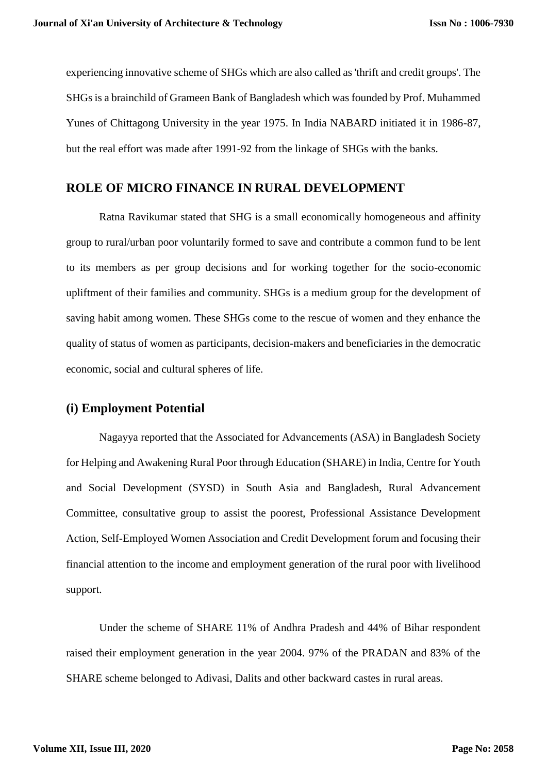experiencing innovative scheme of SHGs which are also called as 'thrift and credit groups'. The SHGs is a brainchild of Grameen Bank of Bangladesh which was founded by Prof. Muhammed Yunes of Chittagong University in the year 1975. In India NABARD initiated it in 1986-87, but the real effort was made after 1991-92 from the linkage of SHGs with the banks.

## **ROLE OF MICRO FINANCE IN RURAL DEVELOPMENT**

Ratna Ravikumar stated that SHG is a small economically homogeneous and affinity group to rural/urban poor voluntarily formed to save and contribute a common fund to be lent to its members as per group decisions and for working together for the socio-economic upliftment of their families and community. SHGs is a medium group for the development of saving habit among women. These SHGs come to the rescue of women and they enhance the quality of status of women as participants, decision-makers and beneficiaries in the democratic economic, social and cultural spheres of life.

#### **(i) Employment Potential**

Nagayya reported that the Associated for Advancements (ASA) in Bangladesh Society for Helping and Awakening Rural Poor through Education (SHARE) in India, Centre for Youth and Social Development (SYSD) in South Asia and Bangladesh, Rural Advancement Committee, consultative group to assist the poorest, Professional Assistance Development Action, Self-Employed Women Association and Credit Development forum and focusing their financial attention to the income and employment generation of the rural poor with livelihood support.

Under the scheme of SHARE 11% of Andhra Pradesh and 44% of Bihar respondent raised their employment generation in the year 2004. 97% of the PRADAN and 83% of the SHARE scheme belonged to Adivasi, Dalits and other backward castes in rural areas.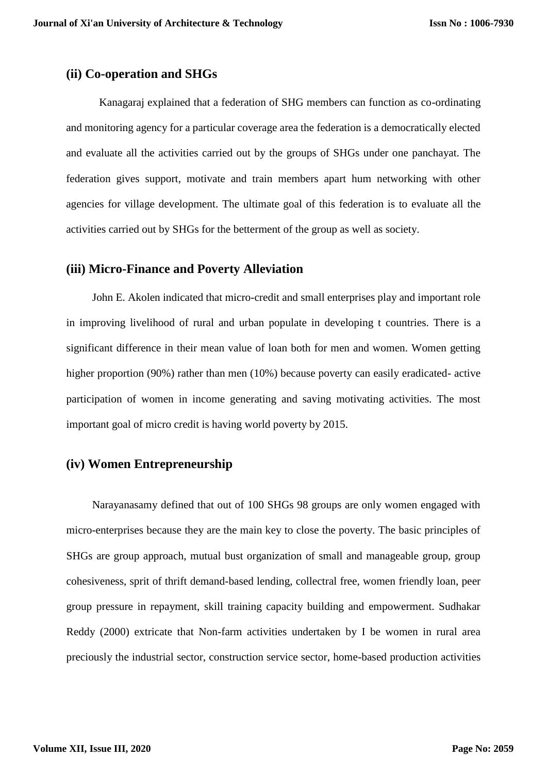#### **(ii) Co-operation and SHGs**

Kanagaraj explained that a federation of SHG members can function as co-ordinating and monitoring agency for a particular coverage area the federation is a democratically elected and evaluate all the activities carried out by the groups of SHGs under one panchayat. The federation gives support, motivate and train members apart hum networking with other agencies for village development. The ultimate goal of this federation is to evaluate all the activities carried out by SHGs for the betterment of the group as well as society.

#### **(iii) Micro-Finance and Poverty Alleviation**

John E. Akolen indicated that micro-credit and small enterprises play and important role in improving livelihood of rural and urban populate in developing t countries. There is a significant difference in their mean value of loan both for men and women. Women getting higher proportion (90%) rather than men (10%) because poverty can easily eradicated-active participation of women in income generating and saving motivating activities. The most important goal of micro credit is having world poverty by 2015.

## **(iv) Women Entrepreneurship**

Narayanasamy defined that out of 100 SHGs 98 groups are only women engaged with micro-enterprises because they are the main key to close the poverty. The basic principles of SHGs are group approach, mutual bust organization of small and manageable group, group cohesiveness, sprit of thrift demand-based lending, collectral free, women friendly loan, peer group pressure in repayment, skill training capacity building and empowerment. Sudhakar Reddy (2000) extricate that Non-farm activities undertaken by I be women in rural area preciously the industrial sector, construction service sector, home-based production activities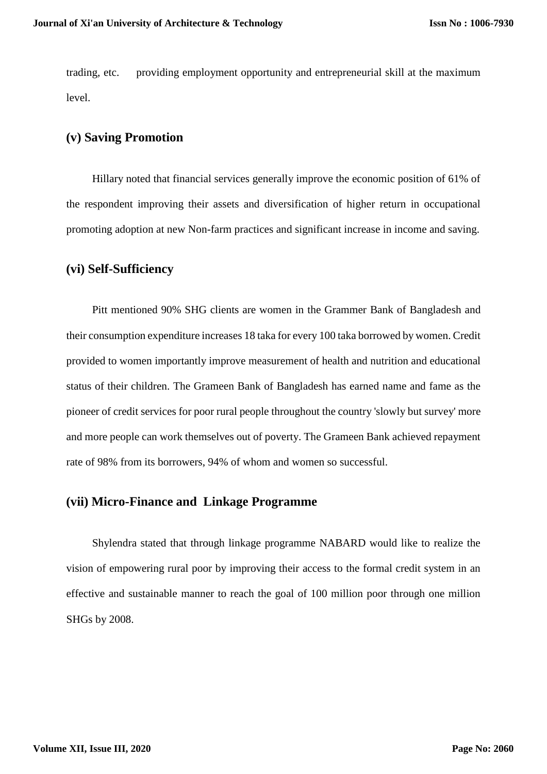trading, etc. providing employment opportunity and entrepreneurial skill at the maximum level.

## **(v) Saving Promotion**

Hillary noted that financial services generally improve the economic position of 61% of the respondent improving their assets and diversification of higher return in occupational promoting adoption at new Non-farm practices and significant increase in income and saving.

### **(vi) Self-Sufficiency**

Pitt mentioned 90% SHG clients are women in the Grammer Bank of Bangladesh and their consumption expenditure increases 18 taka for every 100 taka borrowed by women. Credit provided to women importantly improve measurement of health and nutrition and educational status of their children. The Grameen Bank of Bangladesh has earned name and fame as the pioneer of credit services for poor rural people throughout the country 'slowly but survey' more and more people can work themselves out of poverty. The Grameen Bank achieved repayment rate of 98% from its borrowers, 94% of whom and women so successful.

#### **(vii) Micro-Finance and Linkage Programme**

Shylendra stated that through linkage programme NABARD would like to realize the vision of empowering rural poor by improving their access to the formal credit system in an effective and sustainable manner to reach the goal of 100 million poor through one million SHGs by 2008.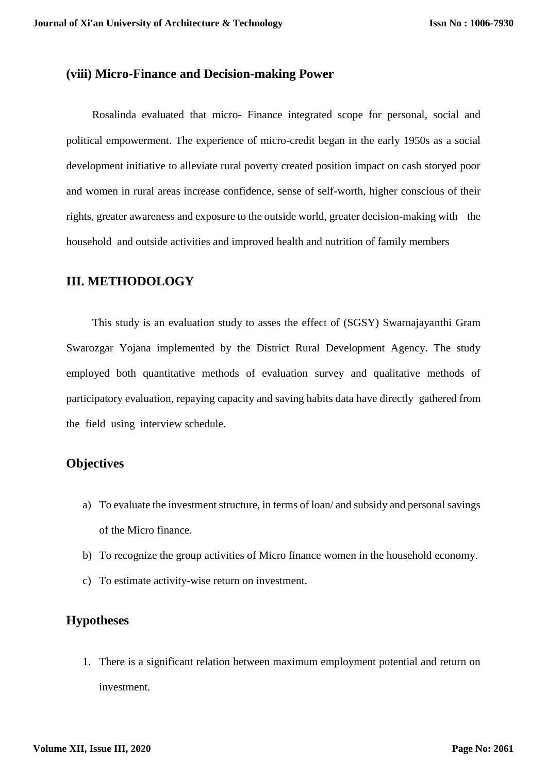#### **(viii) Micro-Finance and Decision-making Power**

Rosalinda evaluated that micro- Finance integrated scope for personal, social and political empowerment. The experience of micro-credit began in the early 1950s as a social development initiative to alleviate rural poverty created position impact on cash storyed poor and women in rural areas increase confidence, sense of self-worth, higher conscious of their rights, greater awareness and exposure to the outside world, greater decision-making with the household and outside activities and improved health and nutrition of family members

#### **III. METHODOLOGY**

This study is an evaluation study to asses the effect of (SGSY) Swarnajayanthi Gram Swarozgar Yojana implemented by the District Rural Development Agency. The study employed both quantitative methods of evaluation survey and qualitative methods of participatory evaluation, repaying capacity and saving habits data have directly gathered from the field using interview schedule.

#### **Objectives**

- a) To evaluate the investment structure, in terms of loan/ and subsidy and personal savings of the Micro finance.
- b) To recognize the group activities of Micro finance women in the household economy.
- c) To estimate activity-wise return on investment.

## **Hypotheses**

1. There is a significant relation between maximum employment potential and return on investment.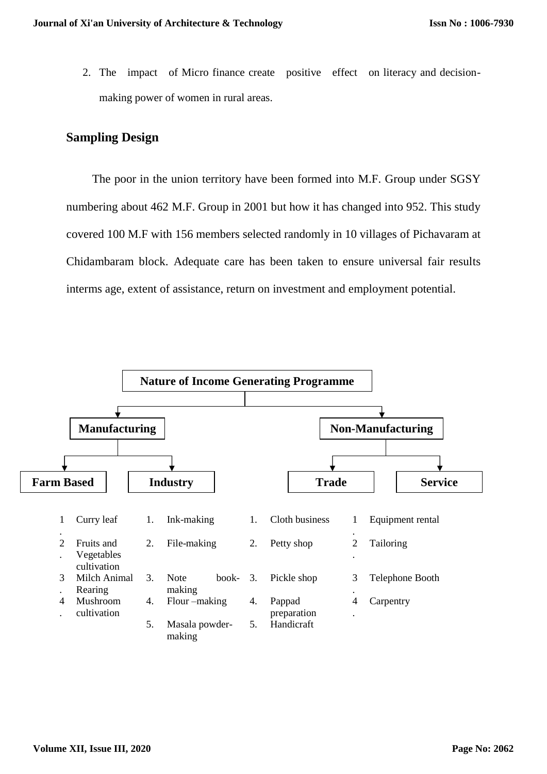2. The impact of Micro finance create positive effect on literacy and decisionmaking power of women in rural areas.

# **Sampling Design**

The poor in the union territory have been formed into M.F. Group under SGSY numbering about 462 M.F. Group in 2001 but how it has changed into 952. This study covered 100 M.F with 156 members selected randomly in 10 villages of Pichavaram at Chidambaram block. Adequate care has been taken to ensure universal fair results interms age, extent of assistance, return on investment and employment potential.

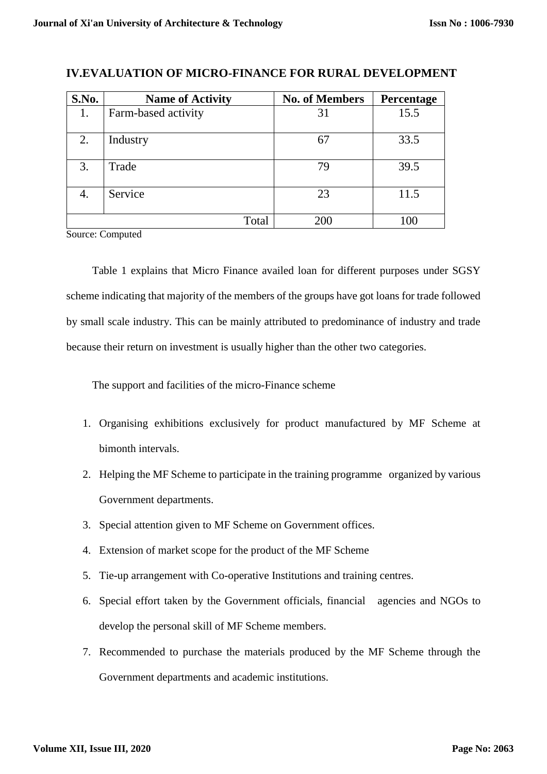| S.No. | <b>Name of Activity</b> | <b>No. of Members</b> | Percentage |
|-------|-------------------------|-----------------------|------------|
| 1.    | Farm-based activity     | 31                    | 15.5       |
| 2.    | Industry                | 67                    | 33.5       |
| 3.    | Trade                   | 79                    | 39.5       |
| 4.    | Service                 | 23                    | 11.5       |
|       | Total                   | 200                   | 100        |

# **IV.EVALUATION OF MICRO-FINANCE FOR RURAL DEVELOPMENT**

Source: Computed

Table 1 explains that Micro Finance availed loan for different purposes under SGSY scheme indicating that majority of the members of the groups have got loans for trade followed by small scale industry. This can be mainly attributed to predominance of industry and trade because their return on investment is usually higher than the other two categories.

The support and facilities of the micro-Finance scheme

- 1. Organising exhibitions exclusively for product manufactured by MF Scheme at bimonth intervals.
- 2. Helping the MF Scheme to participate in the training programme organized by various Government departments.
- 3. Special attention given to MF Scheme on Government offices.
- 4. Extension of market scope for the product of the MF Scheme
- 5. Tie-up arrangement with Co-operative Institutions and training centres.
- 6. Special effort taken by the Government officials, financial agencies and NGOs to develop the personal skill of MF Scheme members.
- 7. Recommended to purchase the materials produced by the MF Scheme through the Government departments and academic institutions.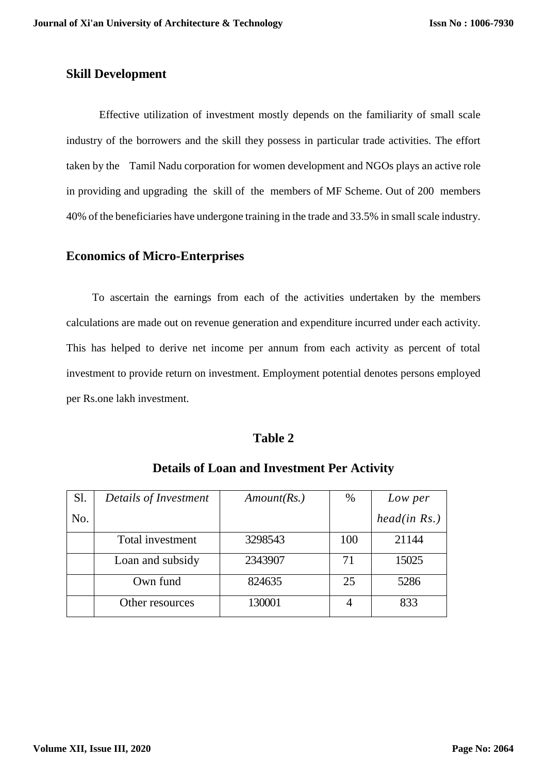#### **Skill Development**

Effective utilization of investment mostly depends on the familiarity of small scale industry of the borrowers and the skill they possess in particular trade activities. The effort taken by the Tamil Nadu corporation for women development and NGOs plays an active role in providing and upgrading the skill of the members of MF Scheme. Out of 200 members 40% of the beneficiaries have undergone training in the trade and 33.5% in small scale industry.

#### **Economics of Micro-Enterprises**

To ascertain the earnings from each of the activities undertaken by the members calculations are made out on revenue generation and expenditure incurred under each activity. This has helped to derive net income per annum from each activity as percent of total investment to provide return on investment. Employment potential denotes persons employed per Rs.one lakh investment.

#### **Table 2**

| Sl. | Details of Investment | Amount(Rs.) | $\%$ | Low per      |
|-----|-----------------------|-------------|------|--------------|
| No. |                       |             |      | head(in Rs.) |
|     | Total investment      | 3298543     | 100  | 21144        |
|     | Loan and subsidy      | 2343907     | 71   | 15025        |
|     | Own fund              | 824635      | 25   | 5286         |
|     | Other resources       | 130001      |      | 833          |

# **Details of Loan and Investment Per Activity**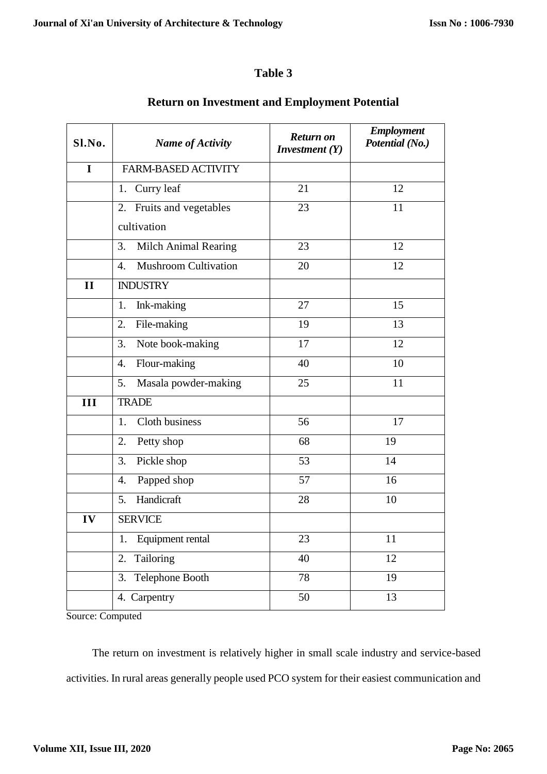## **Table 3**

| S1.N0.       | <b>Name of Activity</b>           | Return on<br><i>Investment</i> $(Y)$ | <b>Employment</b><br>Potential (No.) |
|--------------|-----------------------------------|--------------------------------------|--------------------------------------|
| $\mathbf I$  | <b>FARM-BASED ACTIVITY</b>        |                                      |                                      |
|              | 1. Curry leaf                     | 21                                   | 12                                   |
|              | 2. Fruits and vegetables          | 23                                   | 11                                   |
|              | cultivation                       |                                      |                                      |
|              | 3.<br><b>Milch Animal Rearing</b> | 23                                   | 12                                   |
|              | <b>Mushroom Cultivation</b><br>4. | 20                                   | 12                                   |
| $\mathbf{I}$ | <b>INDUSTRY</b>                   |                                      |                                      |
|              | Ink-making<br>1.                  | 27                                   | 15                                   |
|              | 2.<br>File-making                 | 19                                   | 13                                   |
|              | 3.<br>Note book-making            | 17                                   | 12                                   |
|              | Flour-making<br>4.                | 40                                   | 10                                   |
|              | 5.<br>Masala powder-making        | 25                                   | 11                                   |
| III          | <b>TRADE</b>                      |                                      |                                      |
|              | Cloth business<br>1.              | 56                                   | 17                                   |
|              | 2.<br>Petty shop                  | 68                                   | 19                                   |
|              | 3.<br>Pickle shop                 | 53                                   | 14                                   |
|              | Papped shop<br>4.                 | 57                                   | 16                                   |
|              | Handicraft<br>5.                  | 28                                   | 10                                   |
| IV           | <b>SERVICE</b>                    |                                      |                                      |
|              | Equipment rental<br>1.            | 23                                   | 11                                   |
|              | Tailoring<br>2.                   | 40                                   | 12                                   |
|              | Telephone Booth<br>3.             | 78                                   | 19                                   |
|              | 4. Carpentry                      | 50                                   | 13                                   |

# **Return on Investment and Employment Potential**

Source: Computed

The return on investment is relatively higher in small scale industry and service-based activities. In rural areas generally people used PCO system for their easiest communication and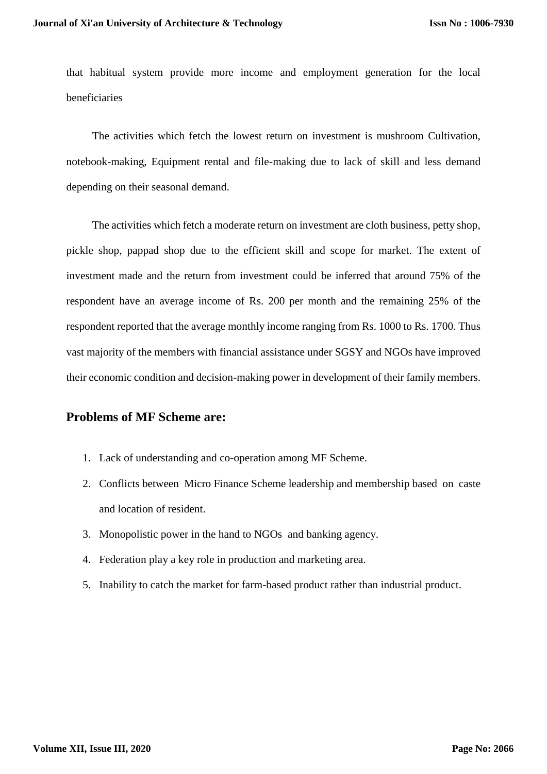that habitual system provide more income and employment generation for the local beneficiaries

The activities which fetch the lowest return on investment is mushroom Cultivation, notebook-making, Equipment rental and file-making due to lack of skill and less demand depending on their seasonal demand.

The activities which fetch a moderate return on investment are cloth business, petty shop, pickle shop, pappad shop due to the efficient skill and scope for market. The extent of investment made and the return from investment could be inferred that around 75% of the respondent have an average income of Rs. 200 per month and the remaining 25% of the respondent reported that the average monthly income ranging from Rs. 1000 to Rs. 1700. Thus vast majority of the members with financial assistance under SGSY and NGOs have improved their economic condition and decision-making power in development of their family members.

### **Problems of MF Scheme are:**

- 1. Lack of understanding and co-operation among MF Scheme.
- 2. Conflicts between Micro Finance Scheme leadership and membership based on caste and location of resident.
- 3. Monopolistic power in the hand to NGOs and banking agency.
- 4. Federation play a key role in production and marketing area.
- 5. Inability to catch the market for farm-based product rather than industrial product.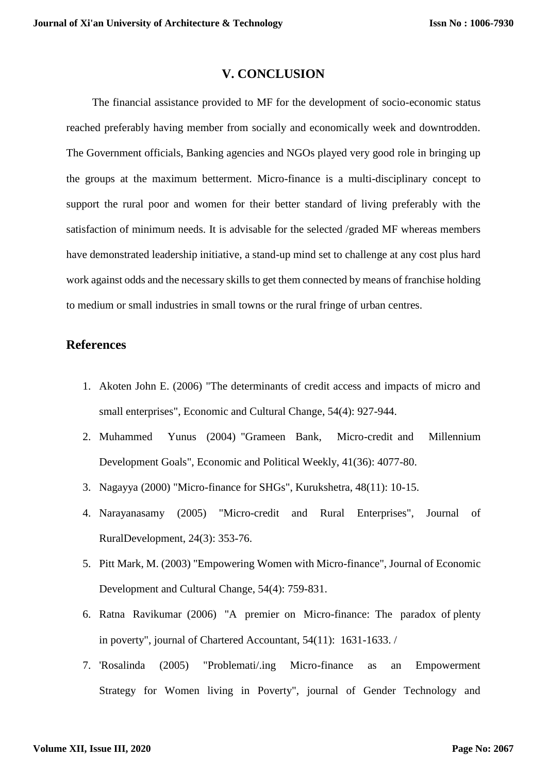#### **V. CONCLUSION**

The financial assistance provided to MF for the development of socio-economic status reached preferably having member from socially and economically week and downtrodden. The Government officials, Banking agencies and NGOs played very good role in bringing up the groups at the maximum betterment. Micro-finance is a multi-disciplinary concept to support the rural poor and women for their better standard of living preferably with the satisfaction of minimum needs. It is advisable for the selected /graded MF whereas members have demonstrated leadership initiative, a stand-up mind set to challenge at any cost plus hard work against odds and the necessary skills to get them connected by means of franchise holding to medium or small industries in small towns or the rural fringe of urban centres.

## **References**

- 1. Akoten John E. (2006) "The determinants of credit access and impacts of micro and small enterprises", Economic and Cultural Change, 54(4): 927-944.
- 2. Muhammed Yunus (2004) "Grameen Bank, Micro-credit and Millennium Development Goals", Economic and Political Weekly, 41(36): 4077-80.
- 3. Nagayya (2000) "Micro-finance for SHGs", Kurukshetra, 48(11): 10-15.
- 4. Narayanasamy (2005) "Micro-credit and Rural Enterprises", Journal of RuralDevelopment, 24(3): 353-76.
- 5. Pitt Mark, M. (2003) "Empowering Women with Micro-finance", Journal of Economic Development and Cultural Change, 54(4): 759-831.
- 6. Ratna Ravikumar (2006) "A premier on Micro-finance: The paradox of plenty in poverty", journal of Chartered Accountant, 54(11): 1631-1633. /
- 7. 'Rosalinda (2005) "Problemati/.ing Micro-finance as an Empowerment Strategy for Women living in Poverty", journal of Gender Technology and